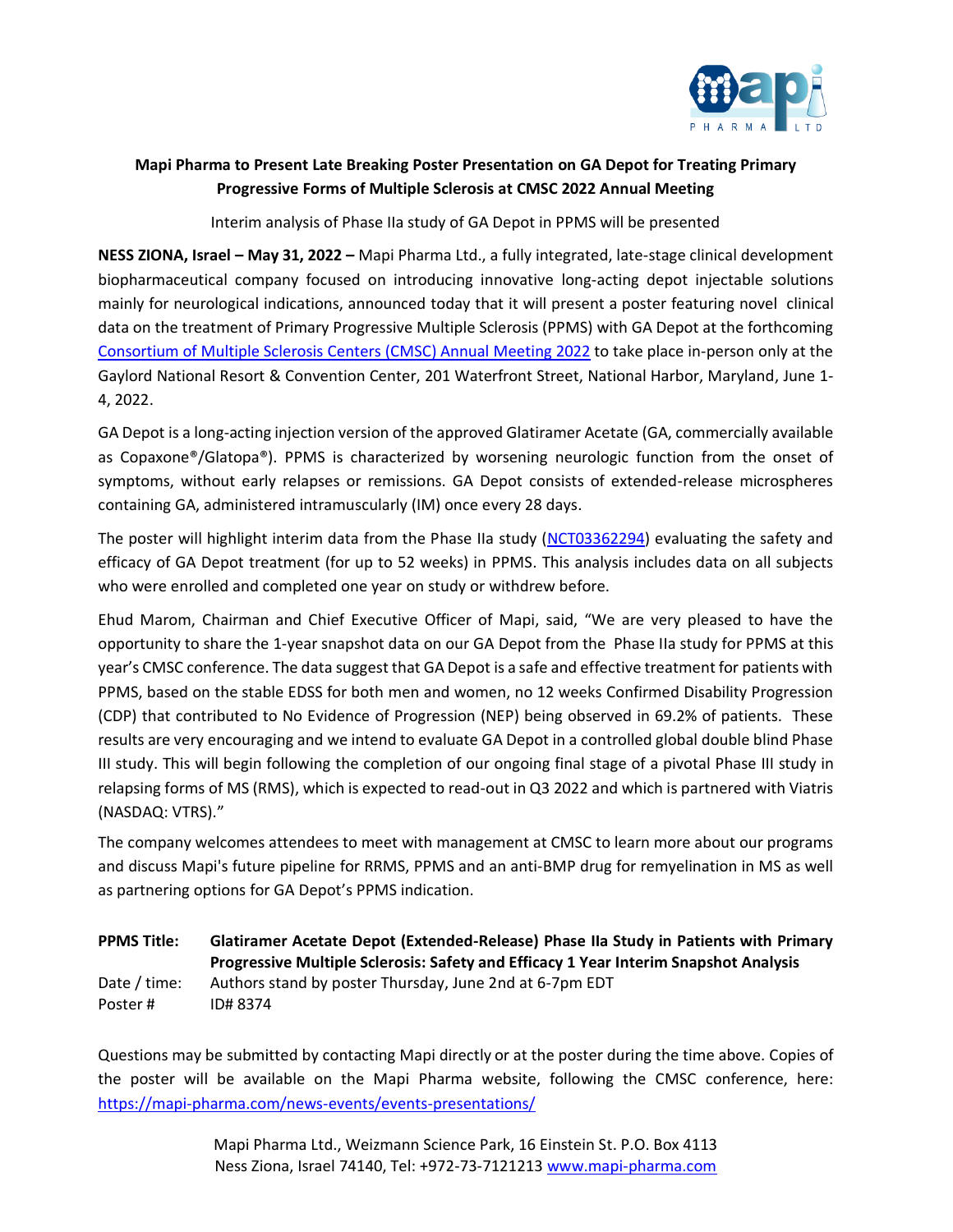

## **Mapi Pharma to Present Late Breaking Poster Presentation on GA Depot for Treating Primary Progressive Forms of Multiple Sclerosis at CMSC 2022 Annual Meeting**

Interim analysis of Phase IIa study of GA Depot in PPMS will be presented

**NESS ZIONA, Israel – May 31, 2022 –** Mapi Pharma Ltd., a fully integrated, late-stage clinical development biopharmaceutical company focused on introducing innovative long-acting depot injectable solutions mainly for neurological indications, announced today that it will present a poster featuring novel clinical data on the treatment of Primary Progressive Multiple Sclerosis (PPMS) with GA Depot at the forthcoming [Consortium of Multiple Sclerosis Centers \(CMSC\)](https://www.mscare.org/) Annual Meeting 2022 to take place in-person only at the Gaylord National Resort & Convention Center, 201 Waterfront Street, National Harbor, Maryland, June 1- 4, 2022.

GA Depot is a long-acting injection version of the approved Glatiramer Acetate (GA, commercially available as Copaxone®/Glatopa®). PPMS is characterized by worsening neurologic function from the onset of symptoms, without early relapses or remissions. GA Depot consists of extended-release microspheres containing GA, administered intramuscularly (IM) once every 28 days.

The poster will highlight interim data from the Phase IIa study [\(NCT03362294\)](https://clinicaltrials.gov/ct2/show/NCT03362294) evaluating the safety and efficacy of GA Depot treatment (for up to 52 weeks) in PPMS. This analysis includes data on all subjects who were enrolled and completed one year on study or withdrew before.

Ehud Marom, Chairman and Chief Executive Officer of Mapi, said, "We are very pleased to have the opportunity to share the 1-year snapshot data on our GA Depot from the Phase IIa study for PPMS at this year's CMSC conference. The data suggest that GA Depot is a safe and effective treatment for patients with PPMS, based on the stable EDSS for both men and women, no 12 weeks Confirmed Disability Progression (CDP) that contributed to No Evidence of Progression (NEP) being observed in 69.2% of patients. These results are very encouraging and we intend to evaluate GA Depot in a controlled global double blind Phase III study. This will begin following the completion of our ongoing final stage of a pivotal Phase III study in relapsing forms of MS (RMS), which is expected to read-out in Q3 2022 and which is partnered with Viatris (NASDAQ: VTRS)."

The company welcomes attendees to meet with management at CMSC to learn more about our programs and discuss Mapi's future pipeline for RRMS, PPMS and an anti-BMP drug for remyelination in MS as well as partnering options for GA Depot's PPMS indication.

## **PPMS Title: Glatiramer Acetate Depot (Extended-Release) Phase IIa Study in Patients with Primary Progressive Multiple Sclerosis: Safety and Efficacy 1 Year Interim Snapshot Analysis** Date / time: Authors stand by poster Thursday, June 2nd at 6-7pm EDT Poster # ID# 8374

Questions may be submitted by contacting Mapi directly or at the poster during the time above. Copies of the poster will be available on the Mapi Pharma website, following the CMSC conference, here: <https://mapi-pharma.com/news-events/events-presentations/>